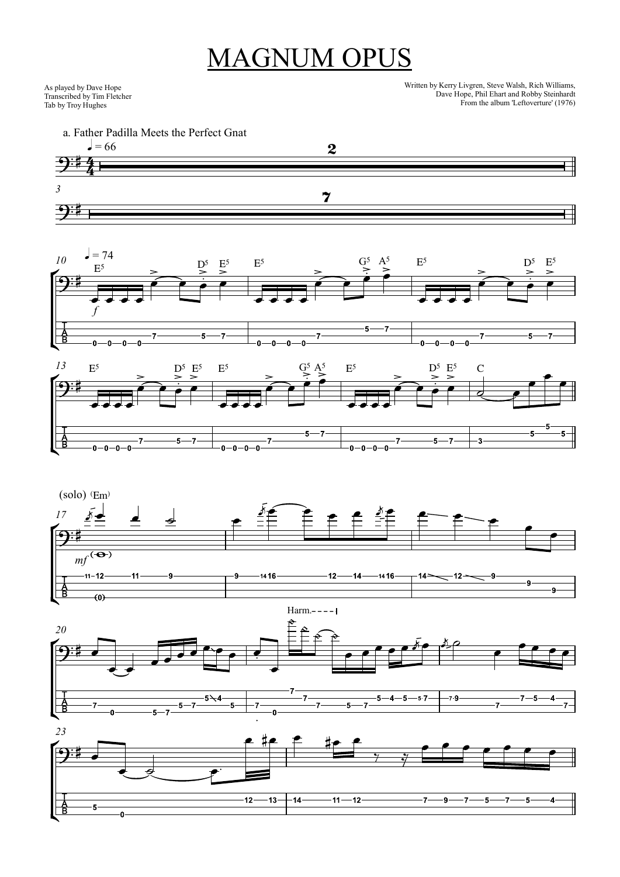## MAGNUM OPUS

As played by Dave Hope Transcribed by Tim Fletcher Tab by Troy Hughes

Written by Kerry Livgren, Steve Walsh, Rich Williams, Dave Hope, Phil Ehart and Robby Steinhardt From the album 'Leftoverture' (1976)

a. Father Padilla Meets the Perfect Gnat











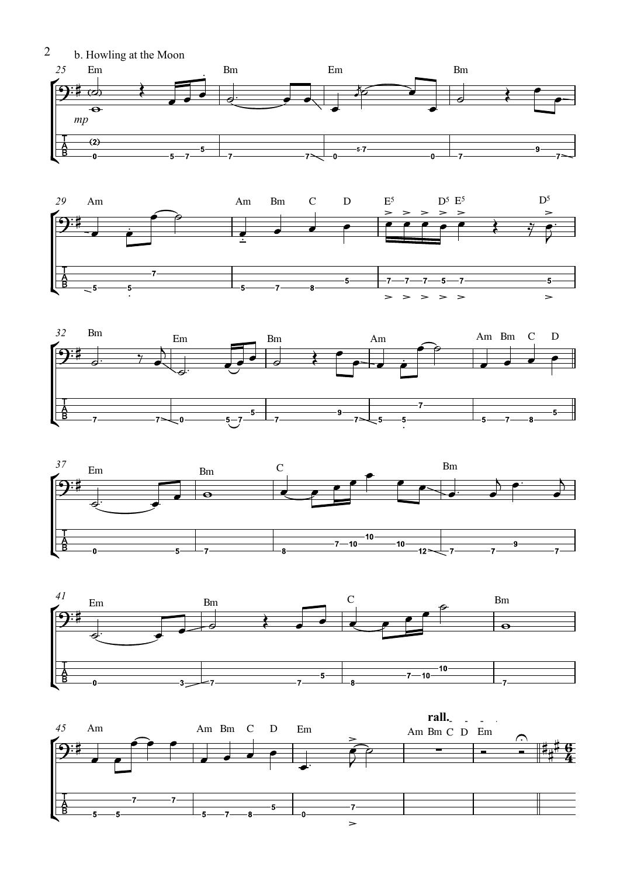











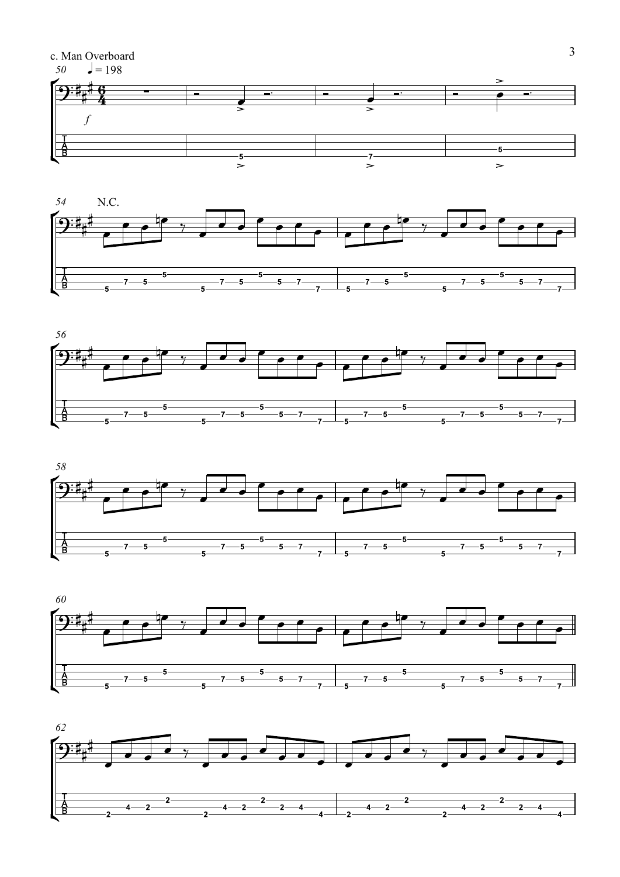









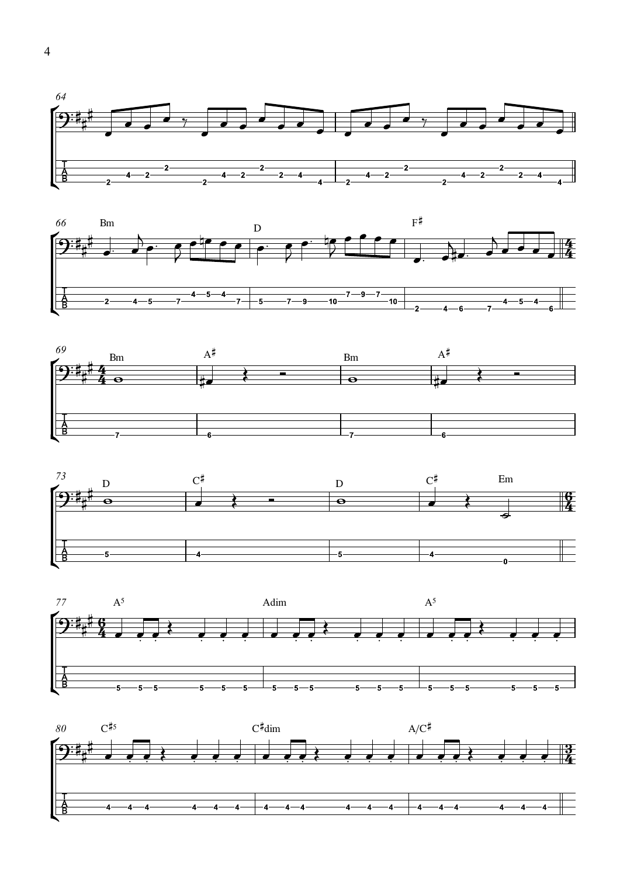









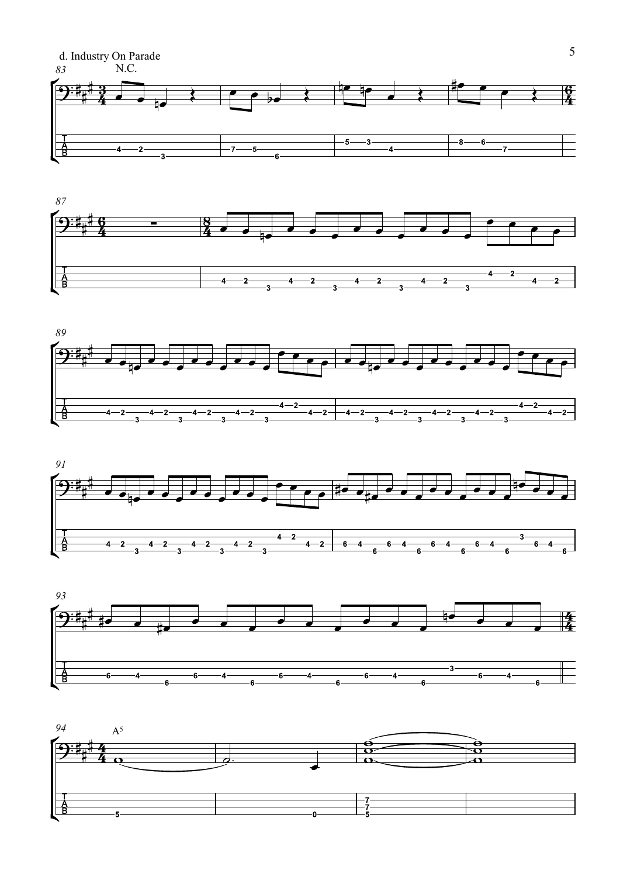









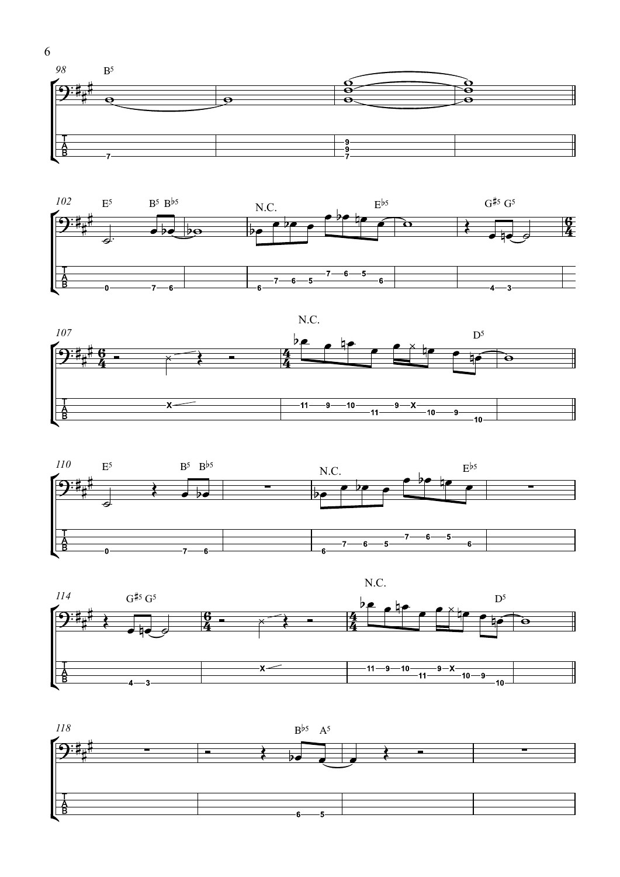









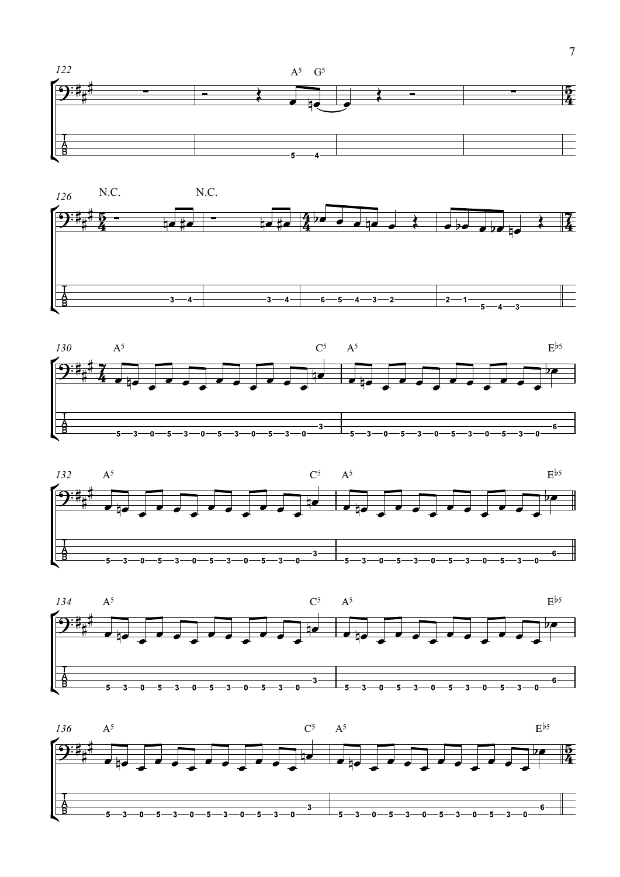









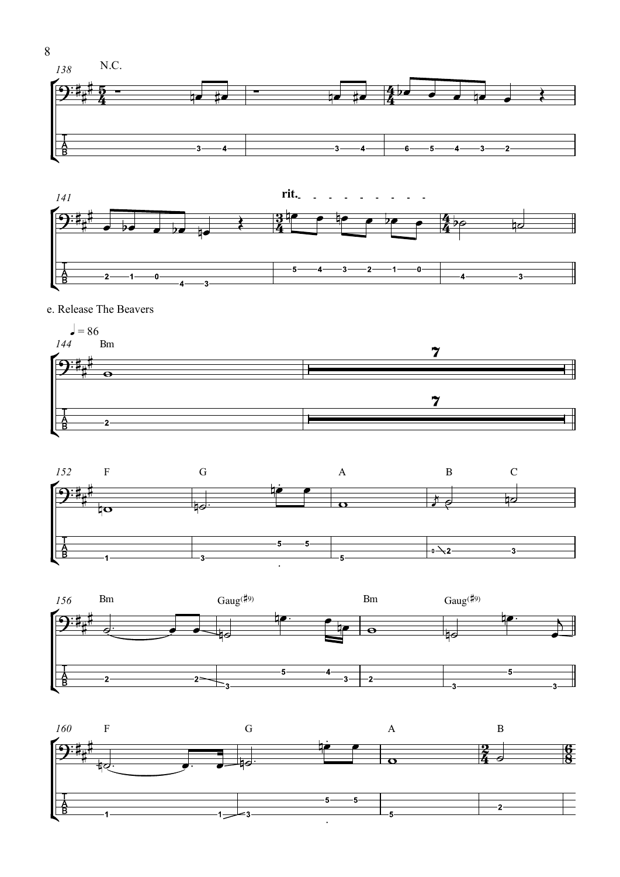



## e. Release The Beavers







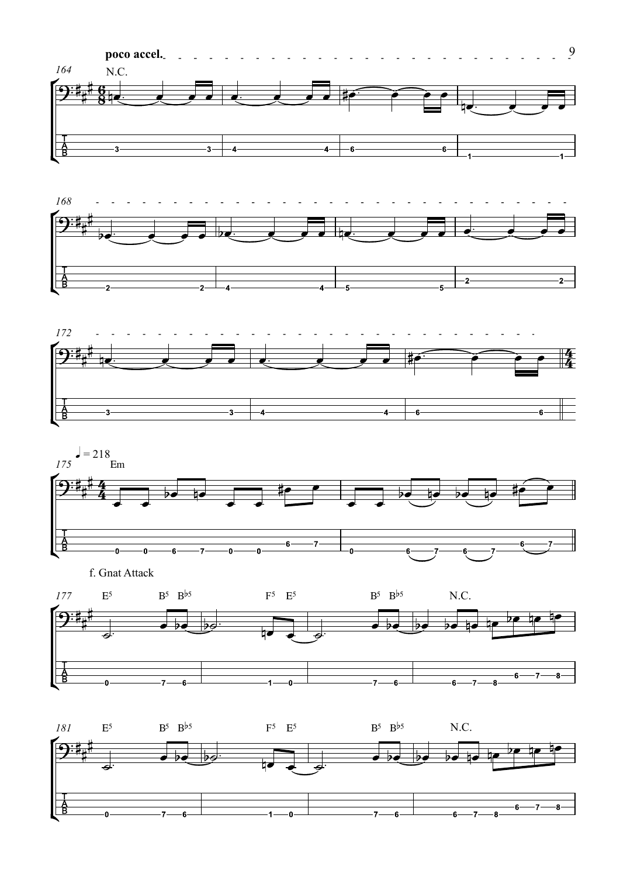







f. Gnat Attack



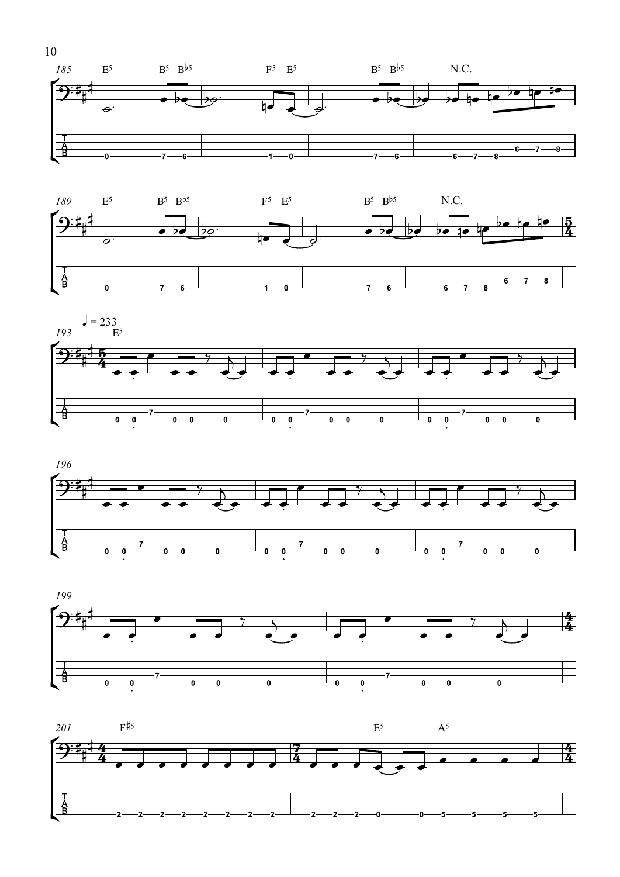









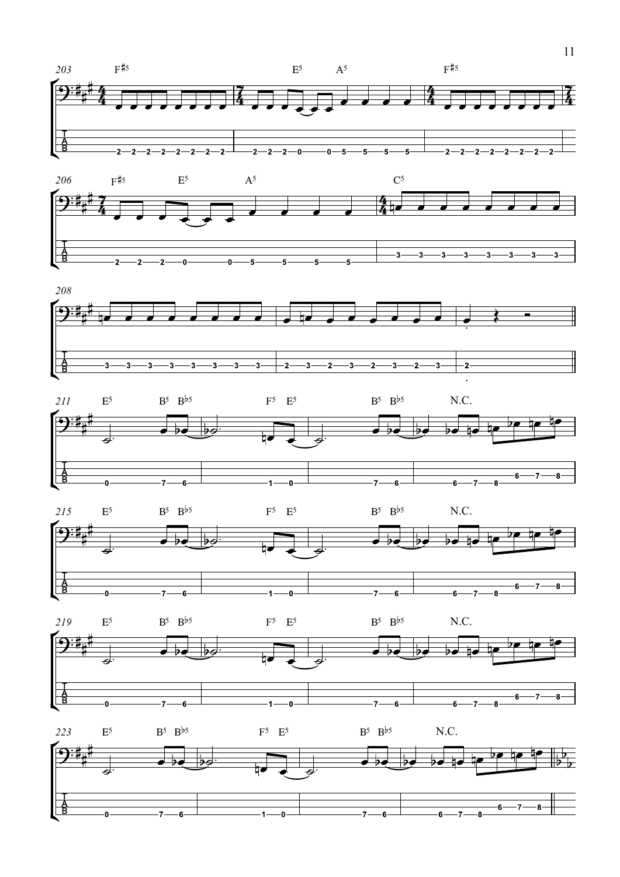